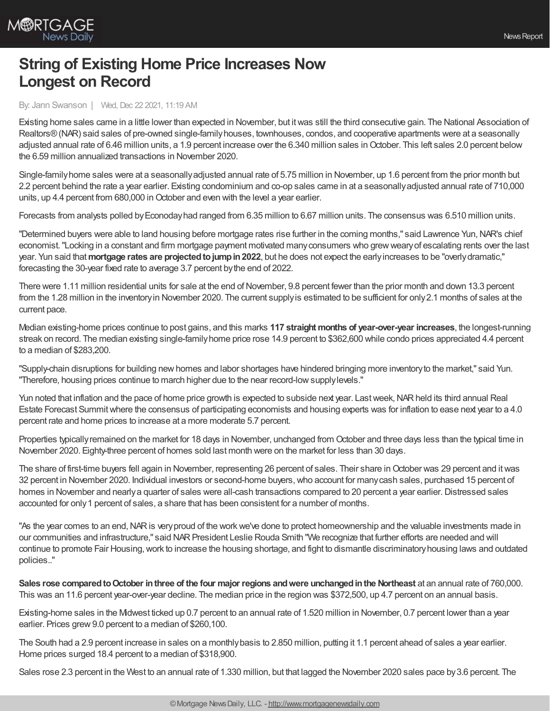

## **String of Existing Home Price Increases Now Longest on Record**

By: Jann Swanson | Wed, Dec 22 2021, 11:19 AM

Existing home sales came in a little lower than expected in November, but itwas still the third consecutive gain. The National Association of Realtors®(NAR) said sales of pre-owned single-familyhouses, townhouses, condos, and cooperative apartments were at a seasonally adjusted annual rate of 6.46 million units, a 1.9 percent increase over the 6.340 million sales inOctober. This left sales 2.0 percent below the 6.59 million annualized transactions in November 2020.

Single-familyhome sales were at a seasonallyadjusted annual rate of 5.75 million in November, up 1.6 percent from the prior month but 2.2 percent behind the rate a year earlier. Existing condominium and co-op sales came in at a seasonallyadjusted annual rate of 710,000 units, up 4.4 percent from 680,000 in October and even with the level a year earlier.

Forecasts from analysts polled byEconodayhad ranged from 6.35 million to 6.67 million units. The consensus was 6.510 million units.

"Determined buyers were able to land housing before mortgage rates rise further in the coming months," said Lawrence Yun, NAR's chief economist."Locking in a constant and firm mortgage payment motivated manyconsumers who grewwearyof escalating rents over the last year. Yun said that**mortgage rates are projectedtojumpin2022**, but he does not expect the earlyincreases to be "overlydramatic," forecasting the 30-year fixed rate to average 3.7 percent bythe end of 2022.

There were 1.11 million residential units for sale at the end of November, 9.8 percent fewer than the prior month and down 13.3 percent from the 1.28 million in the inventoryin November 2020. The current supplyis estimated to be sufficient for only2.1 months of sales at the current pace.

Median existing-home prices continue to post gains, and this marks **117 straight months of year-over-year increases**, the longest-running streak on record. The median existing single-familyhome price rose 14.9 percent to \$362,600 while condo prices appreciated 4.4 percent to a median of \$283,200.

"Supply-chain disruptions for building newhomes and labor shortages have hindered bringing more inventoryto the market," said Yun. "Therefore, housing prices continue to march higher due to the near record-lowsupplylevels."

Yun noted that inflation and the pace of home price growth is expected to subside next year. Last week, NAR held its third annual Real Estate Forecast Summitwhere the consensus of participating economists and housing experts was for inflation to ease next year to a 4.0 percent rate and home prices to increase at a more moderate 5.7 percent.

Properties typicallyremained on the market for 18 days in November, unchanged from October and three days less than the typical time in November 2020. Eighty-three percent of homes sold last month were on the market for less than 30 days.

The share of first-time buyers fell again in November, representing 26 percent of sales. Their share in October was 29 percent and it was 32 percent in November 2020. Individual investors or second-home buyers,who account for manycash sales, purchased 15 percent of homes in November and nearly a quarter of sales were all-cash transactions compared to 20 percent a year earlier. Distressed sales accounted for only1 percent of sales, a share that has been consistent for a number of months.

"As the year comes to an end, NAR is very proud of the work we've done to protect homeownership and the valuable investments made in our communities and infrastructure," said NARPresident Leslie Rouda Smith "We recognize that further efforts are needed and will continue to promote Fair Housing,work to increase the housing shortage, and fight to dismantle discriminatoryhousing laws and outdated policies.."

**Sales rose comparedtoOctober inthree of the four major regions andwere unchangedinthe Northeast** at an annual rate of 760,000. This was an 11.6 percent year-over-year decline. The median price in the region was \$372,500, up 4.7 percent on an annual basis.

Existing-home sales in the Midwest ticked up 0.7 percent to an annual rate of 1.520 million in November, 0.7 percent lower than a year earlier. Prices grew 9.0 percent to a median of \$260,100.

The South had a 2.9 percent increase in sales on a monthlybasis to 2.850 million, putting it 1.1 percent ahead of sales a year earlier. Home prices surged 18.4 percent to a median of \$318,900.

Sales rose 2.3 percent in the West to an annual rate of 1.330 million, but that lagged the November 2020 sales pace by 3.6 percent. The